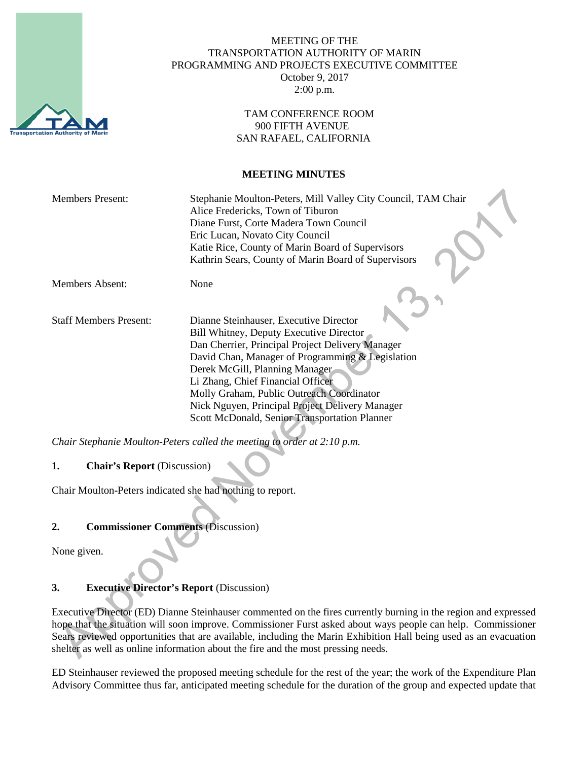

## MEETING OF THE TRANSPORTATION AUTHORITY OF MARIN PROGRAMMING AND PROJECTS EXECUTIVE COMMITTEE October 9, 2017 2:00 p.m.

#### TAM CONFERENCE ROOM 900 FIFTH AVENUE SAN RAFAEL, CALIFORNIA

# **MEETING MINUTES**

| <b>Members Present:</b>       | Stephanie Moulton-Peters, Mill Valley City Council, TAM Chair<br>Alice Fredericks, Town of Tiburon<br>Diane Furst, Corte Madera Town Council<br>Eric Lucan, Novato City Council<br>Katie Rice, County of Marin Board of Supervisors<br>Kathrin Sears, County of Marin Board of Supervisors |
|-------------------------------|--------------------------------------------------------------------------------------------------------------------------------------------------------------------------------------------------------------------------------------------------------------------------------------------|
| Members Absent:               | None                                                                                                                                                                                                                                                                                       |
|                               |                                                                                                                                                                                                                                                                                            |
| <b>Staff Members Present:</b> | Dianne Steinhauser, Executive Director                                                                                                                                                                                                                                                     |
|                               | Bill Whitney, Deputy Executive Director                                                                                                                                                                                                                                                    |
|                               | Dan Cherrier, Principal Project Delivery Manager                                                                                                                                                                                                                                           |
|                               | David Chan, Manager of Programming & Legislation                                                                                                                                                                                                                                           |
|                               | Derek McGill, Planning Manager                                                                                                                                                                                                                                                             |
|                               | Li Zhang, Chief Financial Officer                                                                                                                                                                                                                                                          |
|                               | Molly Graham, Public Outreach Coordinator                                                                                                                                                                                                                                                  |
|                               | Nick Nguyen, Principal Project Delivery Manager                                                                                                                                                                                                                                            |
|                               | Scott McDonald, Senior Transportation Planner                                                                                                                                                                                                                                              |

*Chair Stephanie Moulton-Peters called the meeting to order at 2:10 p.m.*

# **1. Chair's Report** (Discussion)

Chair Moulton-Peters indicated she had nothing to report.

# **2. Commissioner Comments** (Discussion)

None given.

# **3. Executive Director's Report** (Discussion)

Executive Director (ED) Dianne Steinhauser commented on the fires currently burning in the region and expressed hope that the situation will soon improve. Commissioner Furst asked about ways people can help. Commissioner Sears reviewed opportunities that are available, including the Marin Exhibition Hall being used as an evacuation shelter as well as online information about the fire and the most pressing needs.

ED Steinhauser reviewed the proposed meeting schedule for the rest of the year; the work of the Expenditure Plan Advisory Committee thus far, anticipated meeting schedule for the duration of the group and expected update that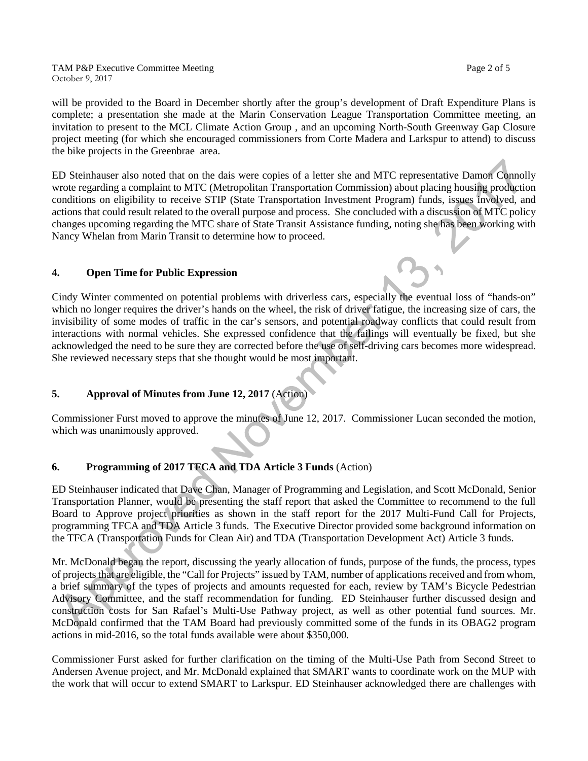TAM P&P Executive Committee Meeting **Page 2 of 5** and 2 of 5 October 9, 2017

will be provided to the Board in December shortly after the group's development of Draft Expenditure Plans is complete; a presentation she made at the Marin Conservation League Transportation Committee meeting, an invitation to present to the MCL Climate Action Group , and an upcoming North-South Greenway Gap Closure project meeting (for which she encouraged commissioners from Corte Madera and Larkspur to attend) to discuss the bike projects in the Greenbrae area.

ED Steinhauser also noted that on the dais were copies of a letter she and MTC representative Damon Connolly wrote regarding a complaint to MTC (Metropolitan Transportation Commission) about placing housing production conditions on eligibility to receive STIP (State Transportation Investment Program) funds, issues involved, and actions that could result related to the overall purpose and process. She concluded with a discussion of MTC policy changes upcoming regarding the MTC share of State Transit Assistance funding, noting she has been working with Nancy Whelan from Marin Transit to determine how to proceed.

## **4. Open Time for Public Expression**

Cindy Winter commented on potential problems with driverless cars, especially the eventual loss of "hands-on" which no longer requires the driver's hands on the wheel, the risk of driver fatigue, the increasing size of cars, the invisibility of some modes of traffic in the car's sensors, and potential roadway conflicts that could result from interactions with normal vehicles. She expressed confidence that the failings will eventually be fixed, but she acknowledged the need to be sure they are corrected before the use of self-driving cars becomes more widespread. She reviewed necessary steps that she thought would be most important.

# **5. Approval of Minutes from June 12, 2017** (Action)

Commissioner Furst moved to approve the minutes of June 12, 2017. Commissioner Lucan seconded the motion, which was unanimously approved.

#### **6. Programming of 2017 TFCA and TDA Article 3 Funds** (Action)

ED Steinhauser indicated that Dave Chan, Manager of Programming and Legislation, and Scott McDonald, Senior Transportation Planner, would be presenting the staff report that asked the Committee to recommend to the full Board to Approve project priorities as shown in the staff report for the 2017 Multi-Fund Call for Projects, programming TFCA and TDA Article 3 funds. The Executive Director provided some background information on the TFCA (Transportation Funds for Clean Air) and TDA (Transportation Development Act) Article 3 funds.

Mr. McDonald began the report, discussing the yearly allocation of funds, purpose of the funds, the process, types of projects that are eligible, the "Call for Projects" issued by TAM, number of applications received and from whom, a brief summary of the types of projects and amounts requested for each, review by TAM's Bicycle Pedestrian Advisory Committee, and the staff recommendation for funding. ED Steinhauser further discussed design and construction costs for San Rafael's Multi-Use Pathway project, as well as other potential fund sources. Mr. McDonald confirmed that the TAM Board had previously committed some of the funds in its OBAG2 program actions in mid-2016, so the total funds available were about \$350,000.

Commissioner Furst asked for further clarification on the timing of the Multi-Use Path from Second Street to Andersen Avenue project, and Mr. McDonald explained that SMART wants to coordinate work on the MUP with the work that will occur to extend SMART to Larkspur. ED Steinhauser acknowledged there are challenges with

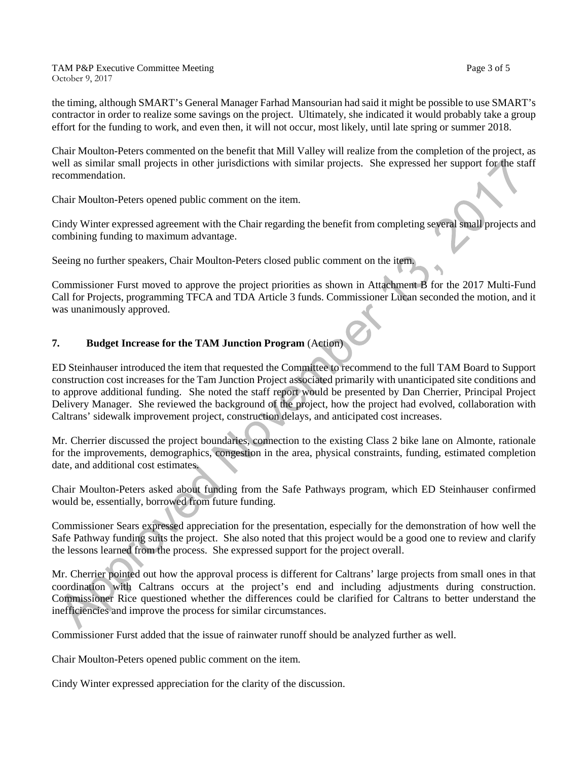the timing, although SMART's General Manager Farhad Mansourian had said it might be possible to use SMART's contractor in order to realize some savings on the project. Ultimately, she indicated it would probably take a group effort for the funding to work, and even then, it will not occur, most likely, until late spring or summer 2018.

Chair Moulton-Peters commented on the benefit that Mill Valley will realize from the completion of the project, as well as similar small projects in other jurisdictions with similar projects. She expressed her support for the staff recommendation.

Chair Moulton-Peters opened public comment on the item.

Cindy Winter expressed agreement with the Chair regarding the benefit from completing several small projects and combining funding to maximum advantage.

Seeing no further speakers, Chair Moulton-Peters closed public comment on the item.

Commissioner Furst moved to approve the project priorities as shown in Attachment B for the 2017 Multi-Fund Call for Projects, programming TFCA and TDA Article 3 funds. Commissioner Lucan seconded the motion, and it was unanimously approved.

# **7. Budget Increase for the TAM Junction Program** (Action)

ED Steinhauser introduced the item that requested the Committee to recommend to the full TAM Board to Support construction cost increases for the Tam Junction Project associated primarily with unanticipated site conditions and to approve additional funding. She noted the staff report would be presented by Dan Cherrier, Principal Project Delivery Manager. She reviewed the background of the project, how the project had evolved, collaboration with Caltrans' sidewalk improvement project, construction delays, and anticipated cost increases.

Mr. Cherrier discussed the project boundaries, connection to the existing Class 2 bike lane on Almonte, rationale for the improvements, demographics, congestion in the area, physical constraints, funding, estimated completion date, and additional cost estimates.

Chair Moulton-Peters asked about funding from the Safe Pathways program, which ED Steinhauser confirmed would be, essentially, borrowed from future funding.

Commissioner Sears expressed appreciation for the presentation, especially for the demonstration of how well the Safe Pathway funding suits the project. She also noted that this project would be a good one to review and clarify the lessons learned from the process. She expressed support for the project overall.

Mr. Cherrier pointed out how the approval process is different for Caltrans' large projects from small ones in that coordination with Caltrans occurs at the project's end and including adjustments during construction. Commissioner Rice questioned whether the differences could be clarified for Caltrans to better understand the inefficiencies and improve the process for similar circumstances.

Commissioner Furst added that the issue of rainwater runoff should be analyzed further as well.

Chair Moulton-Peters opened public comment on the item.

Cindy Winter expressed appreciation for the clarity of the discussion.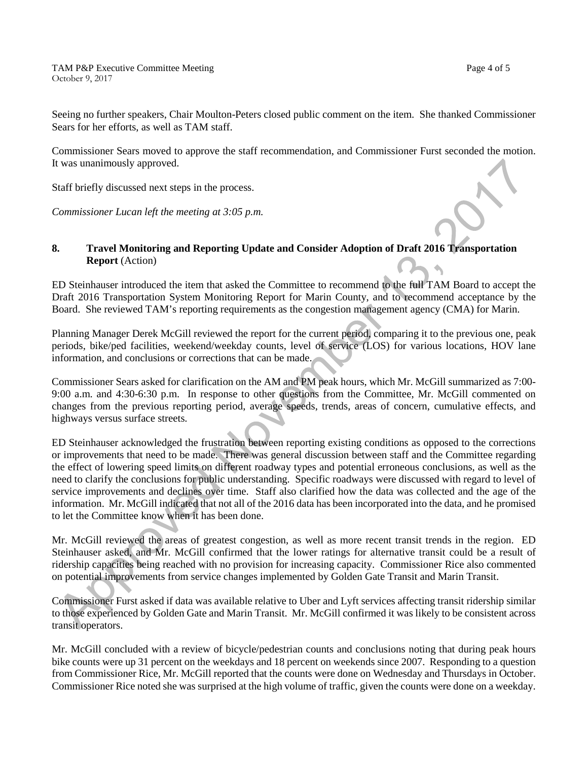Seeing no further speakers, Chair Moulton-Peters closed public comment on the item. She thanked Commissioner Sears for her efforts, as well as TAM staff.

Commissioner Sears moved to approve the staff recommendation, and Commissioner Furst seconded the motion. It was unanimously approved.

Staff briefly discussed next steps in the process.

*Commissioner Lucan left the meeting at 3:05 p.m.*

## **8. Travel Monitoring and Reporting Update and Consider Adoption of Draft 2016 Transportation Report** (Action)

ED Steinhauser introduced the item that asked the Committee to recommend to the full TAM Board to accept the Draft 2016 Transportation System Monitoring Report for Marin County, and to recommend acceptance by the Board. She reviewed TAM's reporting requirements as the congestion management agency (CMA) for Marin.

Planning Manager Derek McGill reviewed the report for the current period, comparing it to the previous one, peak periods, bike/ped facilities, weekend/weekday counts, level of service (LOS) for various locations, HOV lane information, and conclusions or corrections that can be made.

Commissioner Sears asked for clarification on the AM and PM peak hours, which Mr. McGill summarized as 7:00- 9:00 a.m. and 4:30-6:30 p.m. In response to other questions from the Committee, Mr. McGill commented on changes from the previous reporting period, average speeds, trends, areas of concern, cumulative effects, and highways versus surface streets.

ED Steinhauser acknowledged the frustration between reporting existing conditions as opposed to the corrections or improvements that need to be made. There was general discussion between staff and the Committee regarding the effect of lowering speed limits on different roadway types and potential erroneous conclusions, as well as the need to clarify the conclusions for public understanding. Specific roadways were discussed with regard to level of service improvements and declines over time. Staff also clarified how the data was collected and the age of the information. Mr. McGill indicated that not all of the 2016 data has been incorporated into the data, and he promised to let the Committee know when it has been done.

Mr. McGill reviewed the areas of greatest congestion, as well as more recent transit trends in the region. ED Steinhauser asked, and Mr. McGill confirmed that the lower ratings for alternative transit could be a result of ridership capacities being reached with no provision for increasing capacity. Commissioner Rice also commented on potential improvements from service changes implemented by Golden Gate Transit and Marin Transit.

Commissioner Furst asked if data was available relative to Uber and Lyft services affecting transit ridership similar to those experienced by Golden Gate and Marin Transit. Mr. McGill confirmed it was likely to be consistent across transit operators.

Mr. McGill concluded with a review of bicycle/pedestrian counts and conclusions noting that during peak hours bike counts were up 31 percent on the weekdays and 18 percent on weekends since 2007. Responding to a question from Commissioner Rice, Mr. McGill reported that the counts were done on Wednesday and Thursdays in October. Commissioner Rice noted she was surprised at the high volume of traffic, given the counts were done on a weekday.